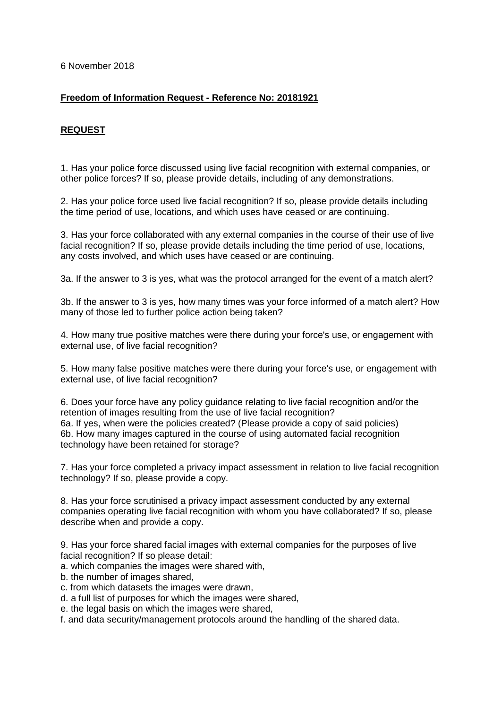6 November 2018

## **Freedom of Information Request - Reference No: 20181921**

# **REQUEST**

1. Has your police force discussed using live facial recognition with external companies, or other police forces? If so, please provide details, including of any demonstrations.

2. Has your police force used live facial recognition? If so, please provide details including the time period of use, locations, and which uses have ceased or are continuing.

3. Has your force collaborated with any external companies in the course of their use of live facial recognition? If so, please provide details including the time period of use, locations, any costs involved, and which uses have ceased or are continuing.

3a. If the answer to 3 is yes, what was the protocol arranged for the event of a match alert?

3b. If the answer to 3 is yes, how many times was your force informed of a match alert? How many of those led to further police action being taken?

4. How many true positive matches were there during your force's use, or engagement with external use, of live facial recognition?

5. How many false positive matches were there during your force's use, or engagement with external use, of live facial recognition?

6. Does your force have any policy guidance relating to live facial recognition and/or the retention of images resulting from the use of live facial recognition? 6a. If yes, when were the policies created? (Please provide a copy of said policies) 6b. How many images captured in the course of using automated facial recognition technology have been retained for storage?

7. Has your force completed a privacy impact assessment in relation to live facial recognition technology? If so, please provide a copy.

8. Has your force scrutinised a privacy impact assessment conducted by any external companies operating live facial recognition with whom you have collaborated? If so, please describe when and provide a copy.

9. Has your force shared facial images with external companies for the purposes of live facial recognition? If so please detail:

- a. which companies the images were shared with,
- b. the number of images shared,
- c. from which datasets the images were drawn,
- d. a full list of purposes for which the images were shared,
- e. the legal basis on which the images were shared,
- f. and data security/management protocols around the handling of the shared data.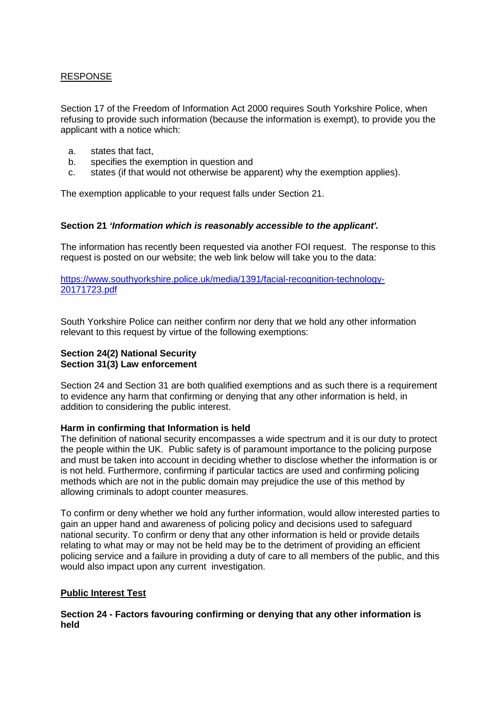# RESPONSE

Section 17 of the Freedom of Information Act 2000 requires South Yorkshire Police, when refusing to provide such information (because the information is exempt), to provide you the applicant with a notice which:

- a. states that fact,
- b. specifies the exemption in question and
- c. states (if that would not otherwise be apparent) why the exemption applies).

The exemption applicable to your request falls under Section 21.

#### **Section 21** *'Information which is reasonably accessible to the applicant'.*

The information has recently been requested via another FOI request. The response to this request is posted on our website; the web link below will take you to the data:

[https://www.southyorkshire.police.uk/media/1391/facial-recognition-technology-](https://www.southyorkshire.police.uk/media/1391/facial-recognition-technology-20171723.pdf)[20171723.pdf](https://www.southyorkshire.police.uk/media/1391/facial-recognition-technology-20171723.pdf)

South Yorkshire Police can neither confirm nor deny that we hold any other information relevant to this request by virtue of the following exemptions:

#### **Section 24(2) National Security Section 31(3) Law enforcement**

Section 24 and Section 31 are both qualified exemptions and as such there is a requirement to evidence any harm that confirming or denying that any other information is held, in addition to considering the public interest.

#### **Harm in confirming that Information is held**

The definition of national security encompasses a wide spectrum and it is our duty to protect the people within the UK. Public safety is of paramount importance to the policing purpose and must be taken into account in deciding whether to disclose whether the information is or is not held. Furthermore, confirming if particular tactics are used and confirming policing methods which are not in the public domain may prejudice the use of this method by allowing criminals to adopt counter measures.

To confirm or deny whether we hold any further information, would allow interested parties to gain an upper hand and awareness of policing policy and decisions used to safeguard national security. To confirm or deny that any other information is held or provide details relating to what may or may not be held may be to the detriment of providing an efficient policing service and a failure in providing a duty of care to all members of the public, and this would also impact upon any current investigation.

## **Public Interest Test**

**Section 24 - Factors favouring confirming or denying that any other information is held**